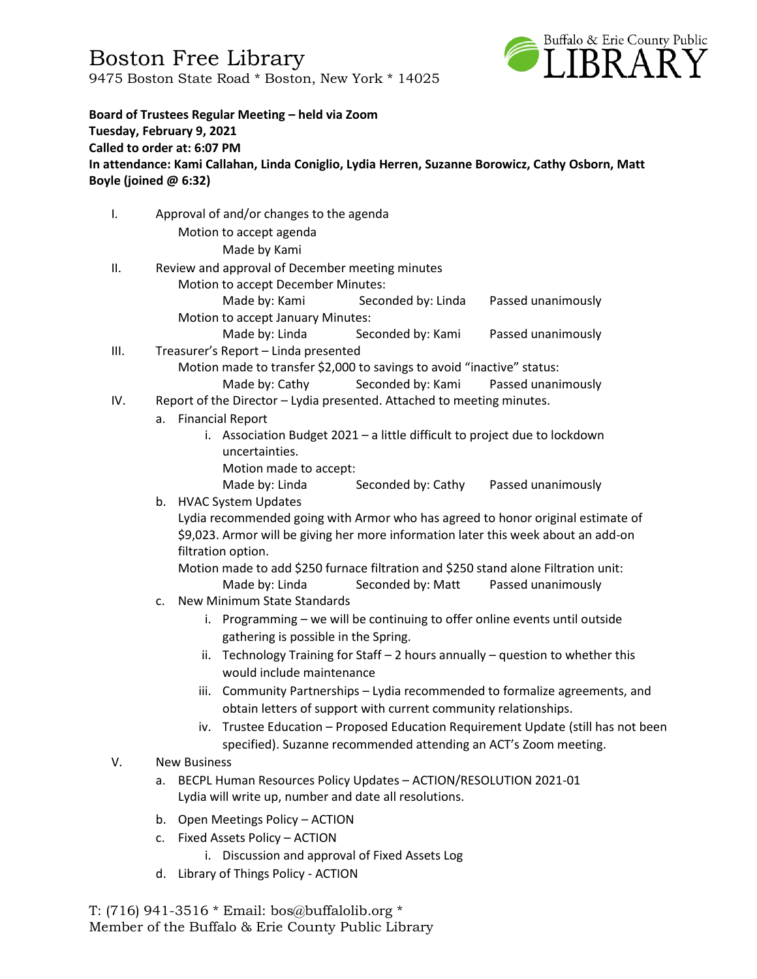Boston Free Library 9475 Boston State Road \* Boston, New York \* 14025



**Board of Trustees Regular Meeting – held via Zoom Tuesday, February 9, 2021 Called to order at: 6:07 PM In attendance: Kami Callahan, Linda Coniglio, Lydia Herren, Suzanne Borowicz, Cathy Osborn, Matt Boyle (joined @ 6:32)**

I. Approval of and/or changes to the agenda

Motion to accept agenda Made by Kami

- II. Review and approval of December meeting minutes
	- Motion to accept December Minutes:

Made by: Kami Seconded by: Linda Passed unanimously Motion to accept January Minutes:

- Made by: Linda Seconded by: Kami Passed unanimously
- III. Treasurer's Report Linda presented

Motion made to transfer \$2,000 to savings to avoid "inactive" status:

- Made by: Cathy Seconded by: Kami Passed unanimously
- IV. Report of the Director Lydia presented. Attached to meeting minutes.
	- a. Financial Report
		- i. Association Budget 2021 a little difficult to project due to lockdown uncertainties.
			- Motion made to accept:

Made by: Linda Seconded by: Cathy Passed unanimously

b. HVAC System Updates

Lydia recommended going with Armor who has agreed to honor original estimate of \$9,023. Armor will be giving her more information later this week about an add-on filtration option.

Motion made to add \$250 furnace filtration and \$250 stand alone Filtration unit: Made by: Linda Seconded by: Matt Passed unanimously

- c. New Minimum State Standards
	- i. Programming we will be continuing to offer online events until outside gathering is possible in the Spring.
	- ii. Technology Training for Staff 2 hours annually question to whether this would include maintenance
	- iii. Community Partnerships Lydia recommended to formalize agreements, and obtain letters of support with current community relationships.
	- iv. Trustee Education Proposed Education Requirement Update (still has not been specified). Suzanne recommended attending an ACT's Zoom meeting.

#### V. New Business

- a. BECPL Human Resources Policy Updates ACTION/RESOLUTION 2021-01 Lydia will write up, number and date all resolutions.
- b. Open Meetings Policy ACTION
- c. Fixed Assets Policy ACTION
	- i. Discussion and approval of Fixed Assets Log
- d. Library of Things Policy ACTION

T: (716) 941-3516 \* Email: [bos@buffalolib.org](mailto:bos@buffalolib.org) \* Member of the Buffalo & Erie County Public Library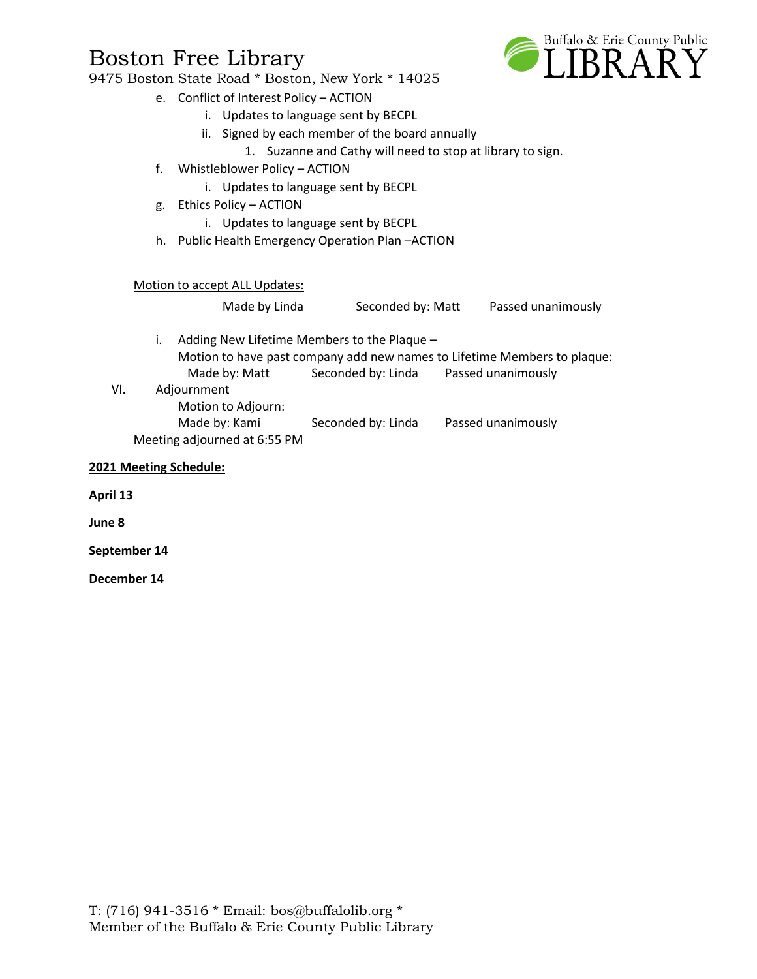### 9475 Boston State Road \* Boston, New York \* 14025

- e. Conflict of Interest Policy ACTION
	- i. Updates to language sent by BECPL
	- ii. Signed by each member of the board annually
		- 1. Suzanne and Cathy will need to stop at library to sign.
- f. Whistleblower Policy ACTION
	- i. Updates to language sent by BECPL
- g. Ethics Policy ACTION
	- i. Updates to language sent by BECPL
- h. Public Health Emergency Operation Plan –ACTION

#### Motion to accept ALL Updates:

Made by Linda Seconded by: Matt Passed unanimously

- i. Adding New Lifetime Members to the Plaque Motion to have past company add new names to Lifetime Members to plaque: Made by: Matt Seconded by: Linda Passed unanimously
- VI. Adjournment
	- Motion to Adjourn:

Made by: Kami Seconded by: Linda Passed unanimously Meeting adjourned at 6:55 PM

#### **2021 Meeting Schedule:**

**April 13**

**June 8**

**September 14**

**December 14**

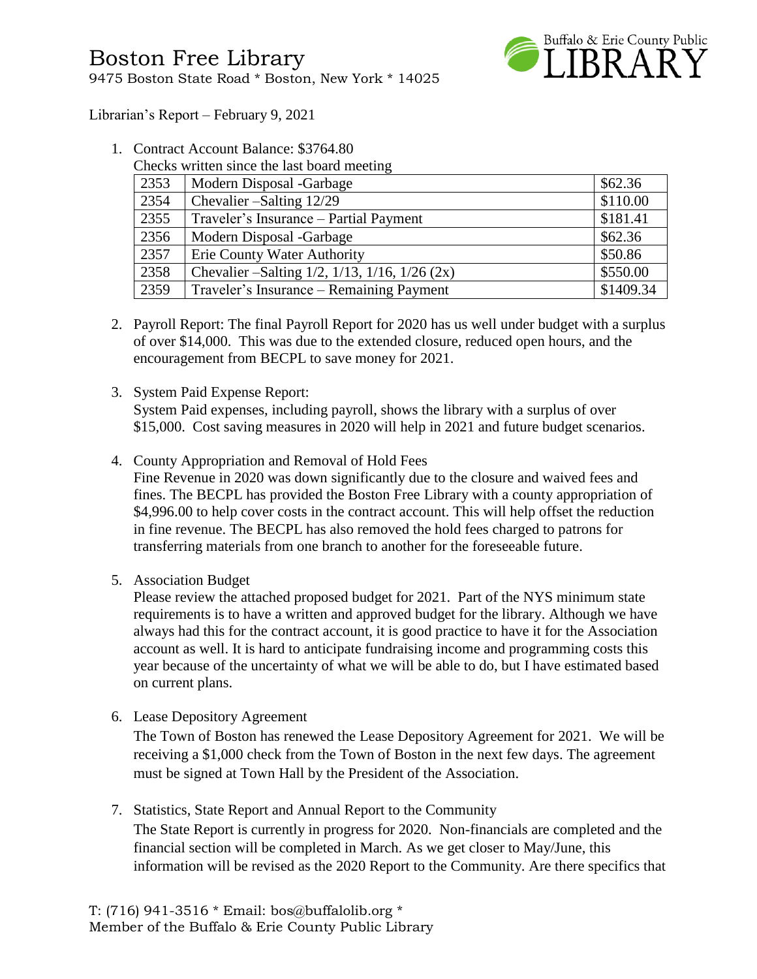

Librarian's Report – February 9, 2021

- 1. Contract Account Balance: \$3764.80
	- Checks written since the last board meeting

| 2353 | Modern Disposal -Garbage                                    | \$62.36   |
|------|-------------------------------------------------------------|-----------|
| 2354 | Chevalier – Salting 12/29                                   | \$110.00  |
| 2355 | Traveler's Insurance - Partial Payment                      | \$181.41  |
| 2356 | Modern Disposal -Garbage                                    | \$62.36   |
| 2357 | Erie County Water Authority                                 | \$50.86   |
| 2358 | Chevalier – Salting $1/2$ , $1/13$ , $1/16$ , $1/26$ $(2x)$ | \$550.00  |
| 2359 | Traveler's Insurance – Remaining Payment                    | \$1409.34 |

- 2. Payroll Report: The final Payroll Report for 2020 has us well under budget with a surplus of over \$14,000. This was due to the extended closure, reduced open hours, and the encouragement from BECPL to save money for 2021.
- 3. System Paid Expense Report:

System Paid expenses, including payroll, shows the library with a surplus of over \$15,000. Cost saving measures in 2020 will help in 2021 and future budget scenarios.

4. County Appropriation and Removal of Hold Fees

Fine Revenue in 2020 was down significantly due to the closure and waived fees and fines. The BECPL has provided the Boston Free Library with a county appropriation of \$4,996.00 to help cover costs in the contract account. This will help offset the reduction in fine revenue. The BECPL has also removed the hold fees charged to patrons for transferring materials from one branch to another for the foreseeable future.

5. Association Budget

Please review the attached proposed budget for 2021. Part of the NYS minimum state requirements is to have a written and approved budget for the library. Although we have always had this for the contract account, it is good practice to have it for the Association account as well. It is hard to anticipate fundraising income and programming costs this year because of the uncertainty of what we will be able to do, but I have estimated based on current plans.

6. Lease Depository Agreement

The Town of Boston has renewed the Lease Depository Agreement for 2021. We will be receiving a \$1,000 check from the Town of Boston in the next few days. The agreement must be signed at Town Hall by the President of the Association.

7. Statistics, State Report and Annual Report to the Community

The State Report is currently in progress for 2020. Non-financials are completed and the financial section will be completed in March. As we get closer to May/June, this information will be revised as the 2020 Report to the Community. Are there specifics that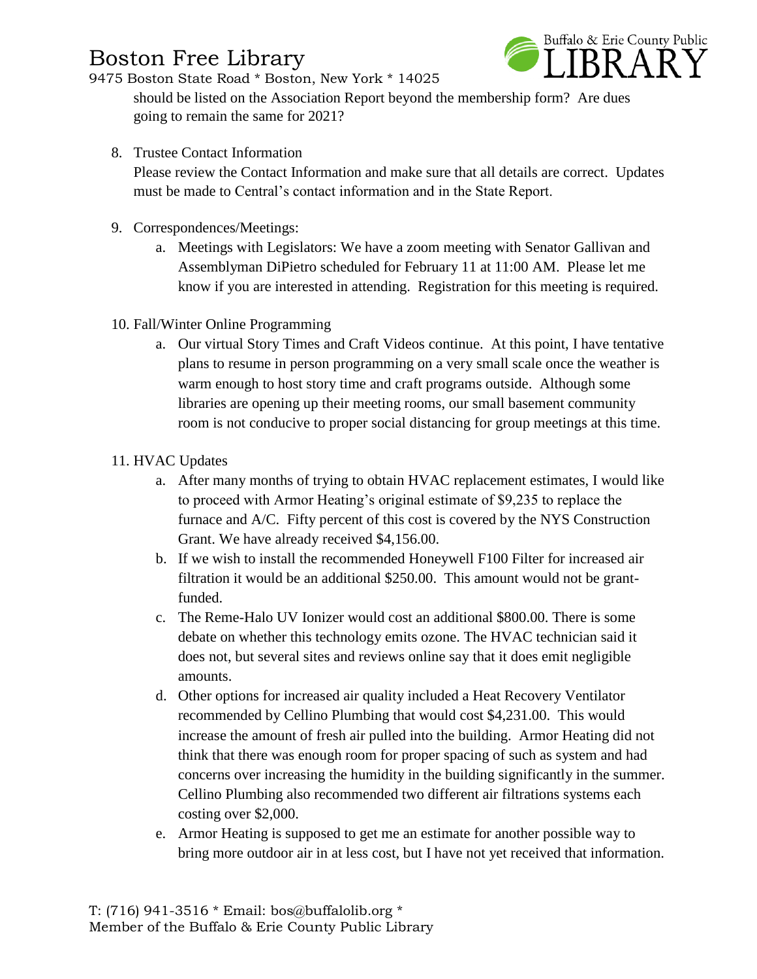

9475 Boston State Road \* Boston, New York \* 14025

should be listed on the Association Report beyond the membership form? Are dues going to remain the same for 2021?

8. Trustee Contact Information

Please review the Contact Information and make sure that all details are correct. Updates must be made to Central's contact information and in the State Report.

- 9. Correspondences/Meetings:
	- a. Meetings with Legislators: We have a zoom meeting with Senator Gallivan and Assemblyman DiPietro scheduled for February 11 at 11:00 AM. Please let me know if you are interested in attending. Registration for this meeting is required.
- 10. Fall/Winter Online Programming
	- a. Our virtual Story Times and Craft Videos continue. At this point, I have tentative plans to resume in person programming on a very small scale once the weather is warm enough to host story time and craft programs outside. Although some libraries are opening up their meeting rooms, our small basement community room is not conducive to proper social distancing for group meetings at this time.
- 11. HVAC Updates
	- a. After many months of trying to obtain HVAC replacement estimates, I would like to proceed with Armor Heating's original estimate of \$9,235 to replace the furnace and A/C. Fifty percent of this cost is covered by the NYS Construction Grant. We have already received \$4,156.00.
	- b. If we wish to install the recommended Honeywell F100 Filter for increased air filtration it would be an additional \$250.00. This amount would not be grantfunded.
	- c. The Reme-Halo UV Ionizer would cost an additional \$800.00. There is some debate on whether this technology emits ozone. The HVAC technician said it does not, but several sites and reviews online say that it does emit negligible amounts.
	- d. Other options for increased air quality included a Heat Recovery Ventilator recommended by Cellino Plumbing that would cost \$4,231.00. This would increase the amount of fresh air pulled into the building. Armor Heating did not think that there was enough room for proper spacing of such as system and had concerns over increasing the humidity in the building significantly in the summer. Cellino Plumbing also recommended two different air filtrations systems each costing over \$2,000.
	- e. Armor Heating is supposed to get me an estimate for another possible way to bring more outdoor air in at less cost, but I have not yet received that information.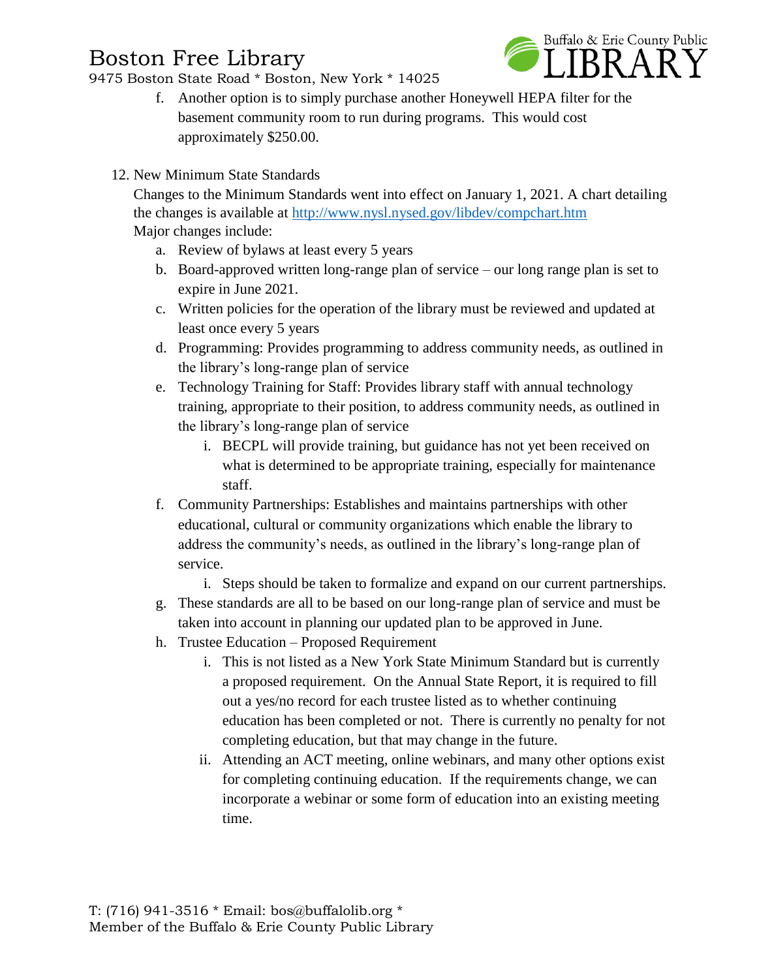9475 Boston State Road \* Boston, New York \* 14025



- f. Another option is to simply purchase another Honeywell HEPA filter for the basement community room to run during programs. This would cost approximately \$250.00.
- 12. New Minimum State Standards

Changes to the Minimum Standards went into effect on January 1, 2021. A chart detailing the changes is available at<http://www.nysl.nysed.gov/libdev/compchart.htm> Major changes include:

- a. Review of bylaws at least every 5 years
- b. Board-approved written long-range plan of service our long range plan is set to expire in June 2021.
- c. Written policies for the operation of the library must be reviewed and updated at least once every 5 years
- d. Programming: Provides programming to address community needs, as outlined in the library's long-range plan of service
- e. Technology Training for Staff: Provides library staff with annual technology training, appropriate to their position, to address community needs, as outlined in the library's long-range plan of service
	- i. BECPL will provide training, but guidance has not yet been received on what is determined to be appropriate training, especially for maintenance staff.
- f. Community Partnerships: Establishes and maintains partnerships with other educational, cultural or community organizations which enable the library to address the community's needs, as outlined in the library's long-range plan of service.
	- i. Steps should be taken to formalize and expand on our current partnerships.
- g. These standards are all to be based on our long-range plan of service and must be taken into account in planning our updated plan to be approved in June.
- h. Trustee Education Proposed Requirement
	- i. This is not listed as a New York State Minimum Standard but is currently a proposed requirement. On the Annual State Report, it is required to fill out a yes/no record for each trustee listed as to whether continuing education has been completed or not. There is currently no penalty for not completing education, but that may change in the future.
	- ii. Attending an ACT meeting, online webinars, and many other options exist for completing continuing education. If the requirements change, we can incorporate a webinar or some form of education into an existing meeting time.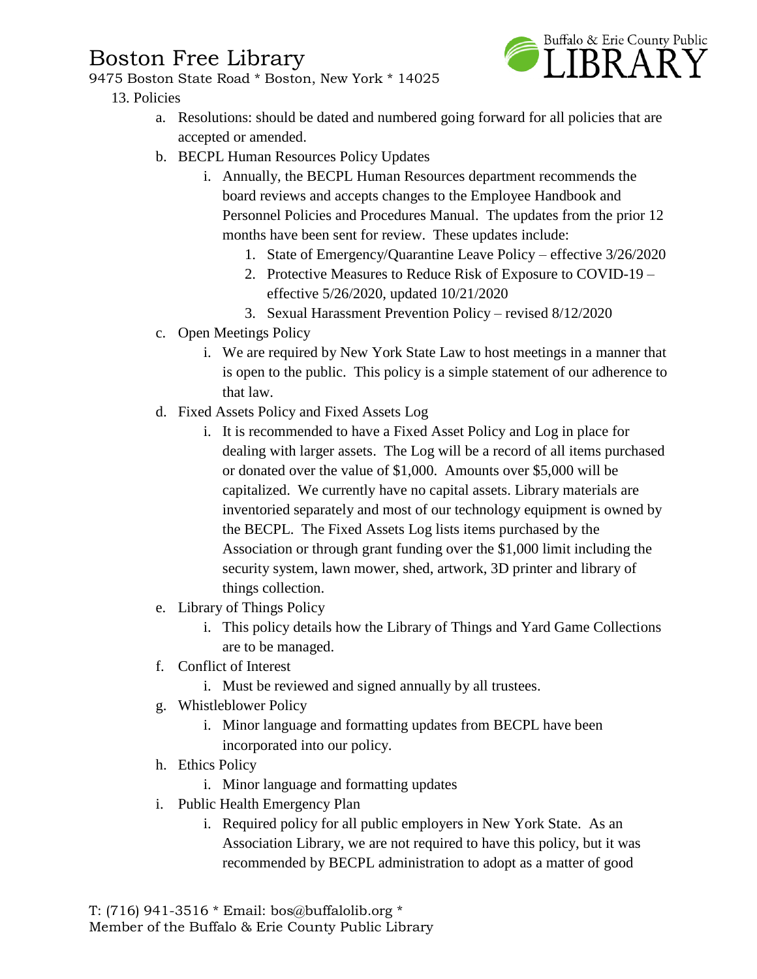9475 Boston State Road \* Boston, New York \* 14025

### 13. Policies



- a. Resolutions: should be dated and numbered going forward for all policies that are accepted or amended.
- b. BECPL Human Resources Policy Updates
	- i. Annually, the BECPL Human Resources department recommends the board reviews and accepts changes to the Employee Handbook and Personnel Policies and Procedures Manual. The updates from the prior 12 months have been sent for review. These updates include:
		- 1. State of Emergency/Quarantine Leave Policy effective 3/26/2020
		- 2. Protective Measures to Reduce Risk of Exposure to COVID-19 effective 5/26/2020, updated 10/21/2020
		- 3. Sexual Harassment Prevention Policy revised 8/12/2020
- c. Open Meetings Policy
	- i. We are required by New York State Law to host meetings in a manner that is open to the public. This policy is a simple statement of our adherence to that law.
- d. Fixed Assets Policy and Fixed Assets Log
	- i. It is recommended to have a Fixed Asset Policy and Log in place for dealing with larger assets. The Log will be a record of all items purchased or donated over the value of \$1,000. Amounts over \$5,000 will be capitalized. We currently have no capital assets. Library materials are inventoried separately and most of our technology equipment is owned by the BECPL. The Fixed Assets Log lists items purchased by the Association or through grant funding over the \$1,000 limit including the security system, lawn mower, shed, artwork, 3D printer and library of things collection.
- e. Library of Things Policy
	- i. This policy details how the Library of Things and Yard Game Collections are to be managed.
- f. Conflict of Interest
	- i. Must be reviewed and signed annually by all trustees.
- g. Whistleblower Policy
	- i. Minor language and formatting updates from BECPL have been incorporated into our policy.
- h. Ethics Policy
	- i. Minor language and formatting updates
- i. Public Health Emergency Plan
	- i. Required policy for all public employers in New York State. As an Association Library, we are not required to have this policy, but it was recommended by BECPL administration to adopt as a matter of good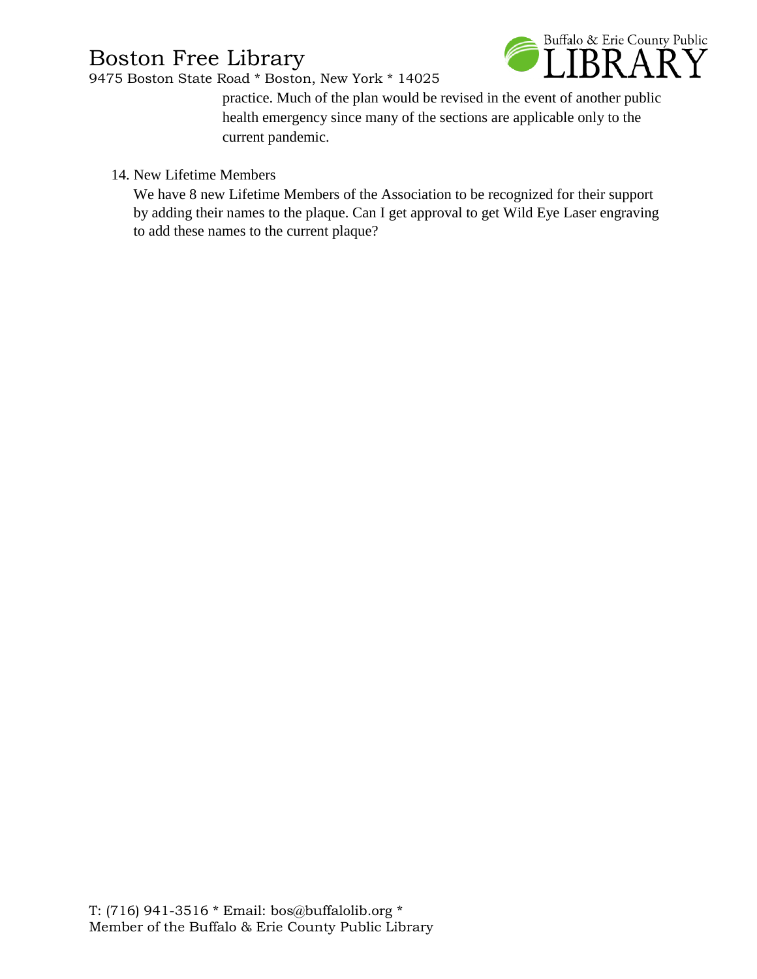9475 Boston State Road \* Boston, New York \* 14025



practice. Much of the plan would be revised in the event of another public health emergency since many of the sections are applicable only to the current pandemic.

14. New Lifetime Members

We have 8 new Lifetime Members of the Association to be recognized for their support by adding their names to the plaque. Can I get approval to get Wild Eye Laser engraving to add these names to the current plaque?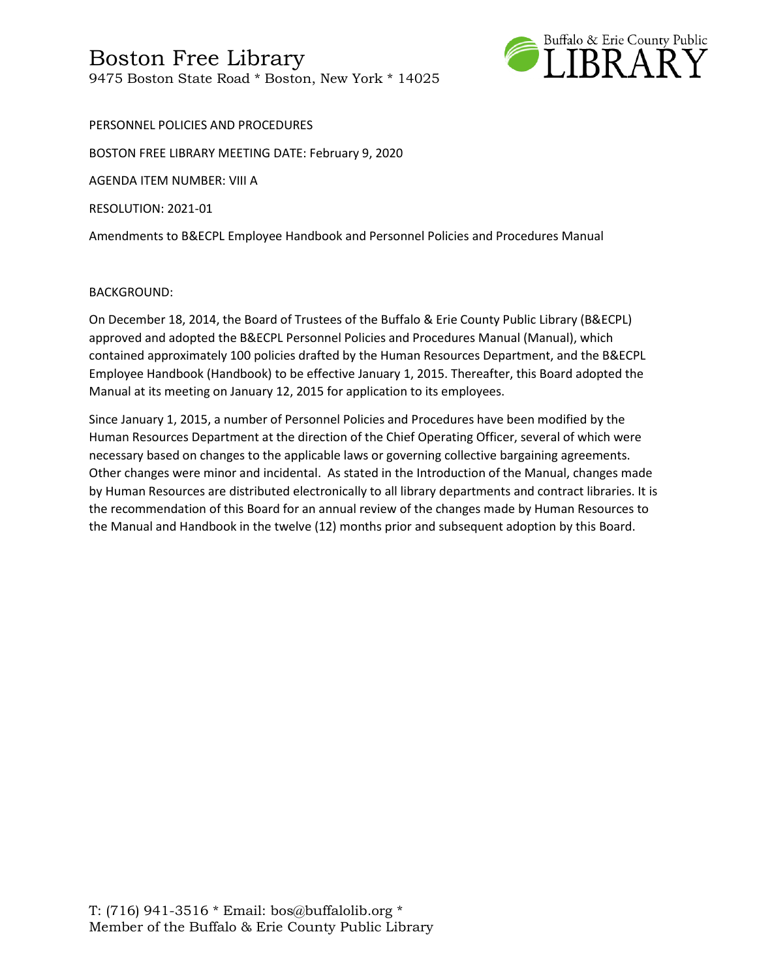

PERSONNEL POLICIES AND PROCEDURES BOSTON FREE LIBRARY MEETING DATE: February 9, 2020 AGENDA ITEM NUMBER: VIII A RESOLUTION: 2021-01 Amendments to B&ECPL Employee Handbook and Personnel Policies and Procedures Manual

#### BACKGROUND:

On December 18, 2014, the Board of Trustees of the Buffalo & Erie County Public Library (B&ECPL) approved and adopted the B&ECPL Personnel Policies and Procedures Manual (Manual), which contained approximately 100 policies drafted by the Human Resources Department, and the B&ECPL Employee Handbook (Handbook) to be effective January 1, 2015. Thereafter, this Board adopted the Manual at its meeting on January 12, 2015 for application to its employees.

Since January 1, 2015, a number of Personnel Policies and Procedures have been modified by the Human Resources Department at the direction of the Chief Operating Officer, several of which were necessary based on changes to the applicable laws or governing collective bargaining agreements. Other changes were minor and incidental. As stated in the Introduction of the Manual, changes made by Human Resources are distributed electronically to all library departments and contract libraries. It is the recommendation of this Board for an annual review of the changes made by Human Resources to the Manual and Handbook in the twelve (12) months prior and subsequent adoption by this Board.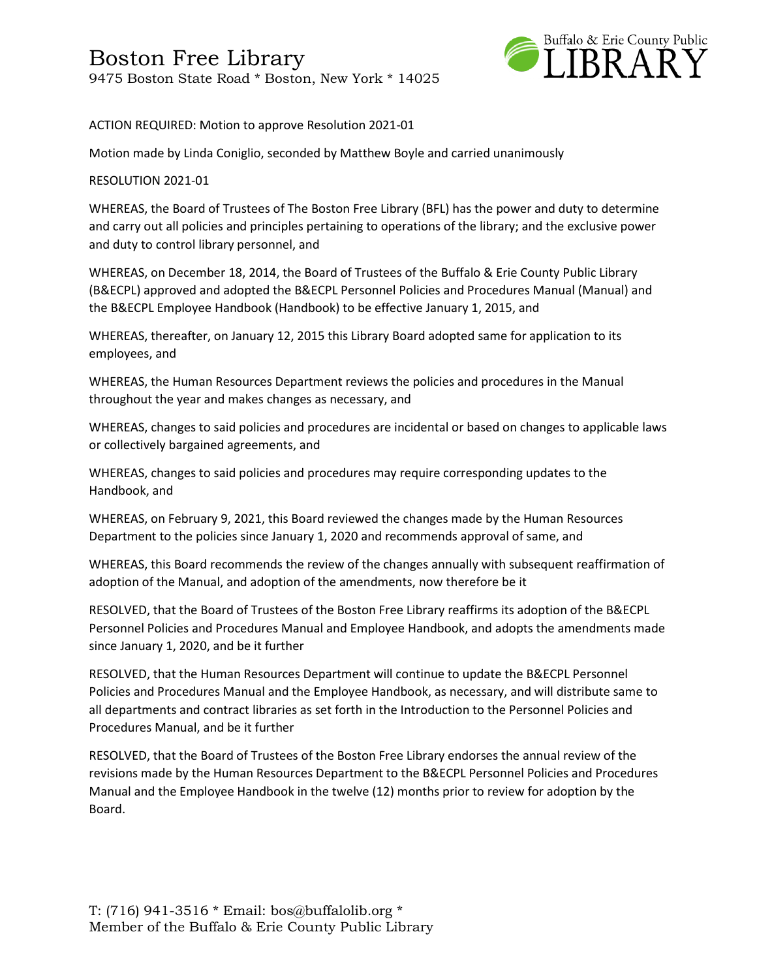

ACTION REQUIRED: Motion to approve Resolution 2021-01

Motion made by Linda Coniglio, seconded by Matthew Boyle and carried unanimously

#### RESOLUTION 2021-01

WHEREAS, the Board of Trustees of The Boston Free Library (BFL) has the power and duty to determine and carry out all policies and principles pertaining to operations of the library; and the exclusive power and duty to control library personnel, and

WHEREAS, on December 18, 2014, the Board of Trustees of the Buffalo & Erie County Public Library (B&ECPL) approved and adopted the B&ECPL Personnel Policies and Procedures Manual (Manual) and the B&ECPL Employee Handbook (Handbook) to be effective January 1, 2015, and

WHEREAS, thereafter, on January 12, 2015 this Library Board adopted same for application to its employees, and

WHEREAS, the Human Resources Department reviews the policies and procedures in the Manual throughout the year and makes changes as necessary, and

WHEREAS, changes to said policies and procedures are incidental or based on changes to applicable laws or collectively bargained agreements, and

WHEREAS, changes to said policies and procedures may require corresponding updates to the Handbook, and

WHEREAS, on February 9, 2021, this Board reviewed the changes made by the Human Resources Department to the policies since January 1, 2020 and recommends approval of same, and

WHEREAS, this Board recommends the review of the changes annually with subsequent reaffirmation of adoption of the Manual, and adoption of the amendments, now therefore be it

RESOLVED, that the Board of Trustees of the Boston Free Library reaffirms its adoption of the B&ECPL Personnel Policies and Procedures Manual and Employee Handbook, and adopts the amendments made since January 1, 2020, and be it further

RESOLVED, that the Human Resources Department will continue to update the B&ECPL Personnel Policies and Procedures Manual and the Employee Handbook, as necessary, and will distribute same to all departments and contract libraries as set forth in the Introduction to the Personnel Policies and Procedures Manual, and be it further

RESOLVED, that the Board of Trustees of the Boston Free Library endorses the annual review of the revisions made by the Human Resources Department to the B&ECPL Personnel Policies and Procedures Manual and the Employee Handbook in the twelve (12) months prior to review for adoption by the Board.